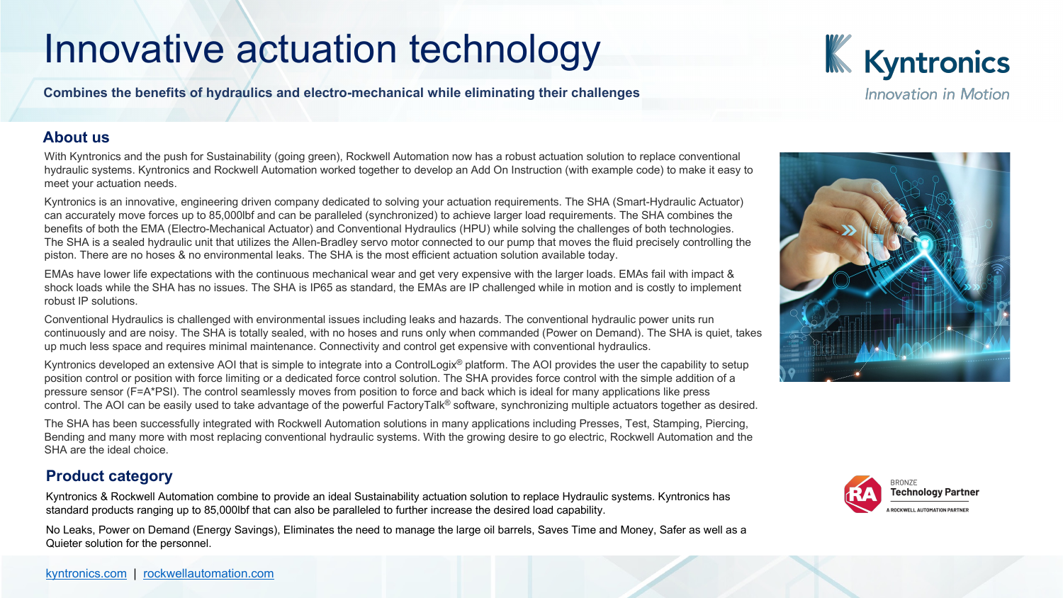## Innovative actuation technology

#### **Combines the benefits of hydraulics and electro-mechanical while eliminating their challenges**

### **About us**

With Kyntronics and the push for Sustainability (going green), Rockwell Automation now has a robust actuation solution to replace hydraulic systems. Kyntronics and Rockwell Automation worked together to develop an Add On Instruction (with example code) to meet your actuation needs.

Kyntronics is an innovative, engineering driven company dedicated to solving your actuation requirements. The SHA (Smart-Hydrault Actuator) can accurately move forces up to 85,000lbf and can be paralleled (synchronized) to achieve larger load requirements. The SHA combined to benefits of both the EMA (Electro-Mechanical Actuator) and Conventional Hydraulics (HPU) while solving the challenges of both te The SHA is a sealed hydraulic unit that utilizes the Allen-Bradley servo motor connected to our pump that moves the fluid precisely piston. There are no hoses & no environmental leaks. The SHA is the most efficient actuation solution available today.

EMAs have lower life expectations with the continuous mechanical wear and get very expensive with the larger loads. EMAs fail w shock loads while t[he SHA has no issues. The S](http://www.rockwellautomation.com/)HA is IP65 as standard, the EMAs are IP challenged while in motion and is costly [robust IP solution](http://www.kyntronics.com/)s.

Conventional Hydraulics is challenged with environmental issues including leaks and hazards. The conventional hydraulic power units of the runnits runnits runnits runnits runnits runnits runnits runnits runnits runnits run continuously and are noisy. The SHA is totally sealed, with no hoses and runs only when commanded (Power on Demand). The S up much less space and requires minimal maintenance. Connectivity and control get expensive with conventional hydraulics.

Kyntronics developed an extensive AOI that is simple to integrate into a ControlLogix<sup>®</sup> platform. The AOI provides the user the cap position control or position with force limiting or a dedicated force control solution. The SHA provides force control with the simple pressure sensor (F=A\*PSI). The control seamlessly moves from position to force and back which is ideal for many applications like control. The AOI can be easily used to take advantage of the powerful FactoryTalk® software, synchronizing multiple actuators tog

The SHA has been successfully integrated with Rockwell Automation solutions in many applications including Presses, Test, Stam Bending and many more with most replacing conventional hydraulic systems. With the growing desire to go electric, Rockwell Automation and the theories and the theories and the theories and the theories and the theories and SHA are the ideal choice.

### **Product category**

Kyntronics & Rockwell Automation combine to provide an ideal Sustainability actuation solution to replace Hydraulic systems. Kyn standard products ranging up to 85,000lbf that can also be paralleled to further increase the desired load capability.

No Leaks, Power on Demand (Energy Savings), Eliminates the need to manage the large oil barrels, Saves Time and Money, Saf Quieter solution for the personnel.